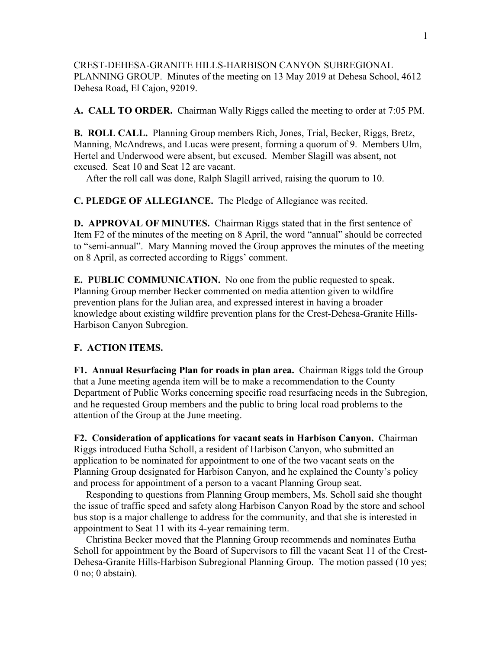CREST-DEHESA-GRANITE HILLS-HARBISON CANYON SUBREGIONAL PLANNING GROUP. Minutes of the meeting on 13 May 2019 at Dehesa School, 4612 Dehesa Road, El Cajon, 92019.

**A. CALL TO ORDER.** Chairman Wally Riggs called the meeting to order at 7:05 PM.

**B. ROLL CALL.** Planning Group members Rich, Jones, Trial, Becker, Riggs, Bretz, Manning, McAndrews, and Lucas were present, forming a quorum of 9. Members Ulm, Hertel and Underwood were absent, but excused. Member Slagill was absent, not excused. Seat 10 and Seat 12 are vacant.

After the roll call was done, Ralph Slagill arrived, raising the quorum to 10.

**C. PLEDGE OF ALLEGIANCE.** The Pledge of Allegiance was recited.

**D. APPROVAL OF MINUTES.** Chairman Riggs stated that in the first sentence of Item F2 of the minutes of the meeting on 8 April, the word "annual" should be corrected to "semi-annual". Mary Manning moved the Group approves the minutes of the meeting on 8 April, as corrected according to Riggs' comment.

**E. PUBLIC COMMUNICATION.** No one from the public requested to speak. Planning Group member Becker commented on media attention given to wildfire prevention plans for the Julian area, and expressed interest in having a broader knowledge about existing wildfire prevention plans for the Crest-Dehesa-Granite Hills-Harbison Canyon Subregion.

## **F. ACTION ITEMS.**

**F1. Annual Resurfacing Plan for roads in plan area.** Chairman Riggs told the Group that a June meeting agenda item will be to make a recommendation to the County Department of Public Works concerning specific road resurfacing needs in the Subregion, and he requested Group members and the public to bring local road problems to the attention of the Group at the June meeting.

**F2. Consideration of applications for vacant seats in Harbison Canyon.** Chairman Riggs introduced Eutha Scholl, a resident of Harbison Canyon, who submitted an application to be nominated for appointment to one of the two vacant seats on the Planning Group designated for Harbison Canyon, and he explained the County's policy and process for appointment of a person to a vacant Planning Group seat.

 Responding to questions from Planning Group members, Ms. Scholl said she thought the issue of traffic speed and safety along Harbison Canyon Road by the store and school bus stop is a major challenge to address for the community, and that she is interested in appointment to Seat 11 with its 4-year remaining term.

 Christina Becker moved that the Planning Group recommends and nominates Eutha Scholl for appointment by the Board of Supervisors to fill the vacant Seat 11 of the Crest-Dehesa-Granite Hills-Harbison Subregional Planning Group. The motion passed (10 yes; 0 no; 0 abstain).